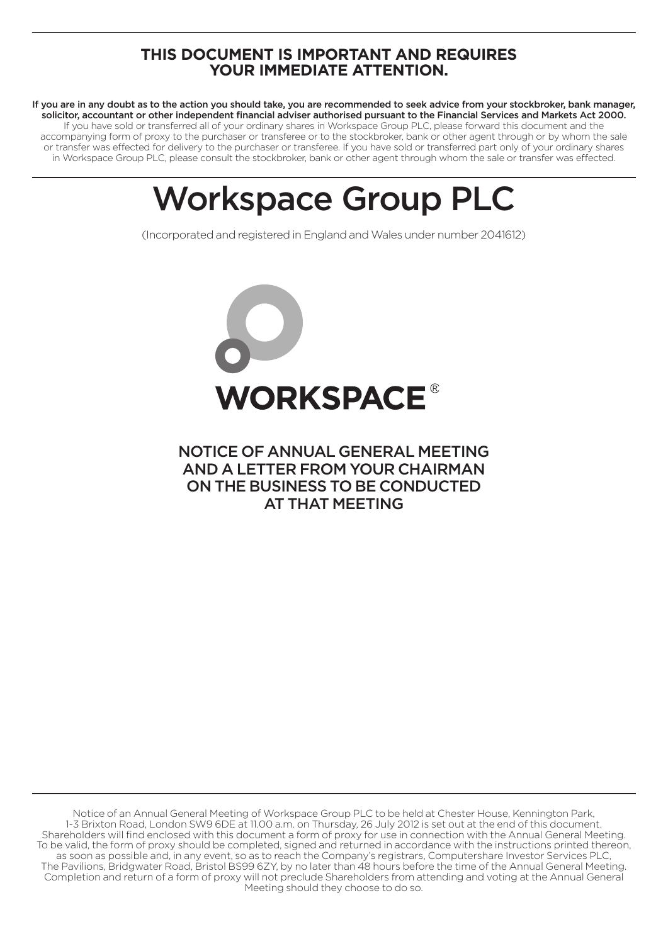# **THIS DOCUMENT IS IMPORTANT AND REQUIRES YOUR IMMEDIATE ATTENTION.**

If you are in any doubt as to the action you should take, you are recommended to seek advice from your stockbroker, bank manager, solicitor, accountant or other independent financial adviser authorised pursuant to the Financial Services and Markets Act 2000. If you have sold or transferred all of your ordinary shares in Workspace Group PLC, please forward this document and the accompanying form of proxy to the purchaser or transferee or to the stockbroker, bank or other agent through or by whom the sale or transfer was effected for delivery to the purchaser or transferee. If you have sold or transferred part only of your ordinary shares in Workspace Group PLC, please consult the stockbroker, bank or other agent through whom the sale or transfer was effected.

# Workspace Group PLC

(Incorporated and registered in England and Wales under number 2041612)



# NOTICE OF ANNUAL GENERAL MEETING AND A LETTER FROM YOUR CHAIRMAN ON THE BUSINESS TO BE CONDUCTED AT THAT MEETING

Notice of an Annual General Meeting of Workspace Group PLC to be held at Chester House, Kennington Park, 1-3 Brixton Road, London SW9 6DE at 11.00 a.m. on Thursday, 26 July 2012 is set out at the end of this document. Shareholders will find enclosed with this document a form of proxy for use in connection with the Annual General Meeting. To be valid, the form of proxy should be completed, signed and returned in accordance with the instructions printed thereon, as soon as possible and, in any event, so as to reach the Company's registrars, Computershare Investor Services PLC, The Pavilions, Bridgwater Road, Bristol BS99 6ZY, by no later than 48 hours before the time of the Annual General Meeting. Completion and return of a form of proxy will not preclude Shareholders from attending and voting at the Annual General Meeting should they choose to do so.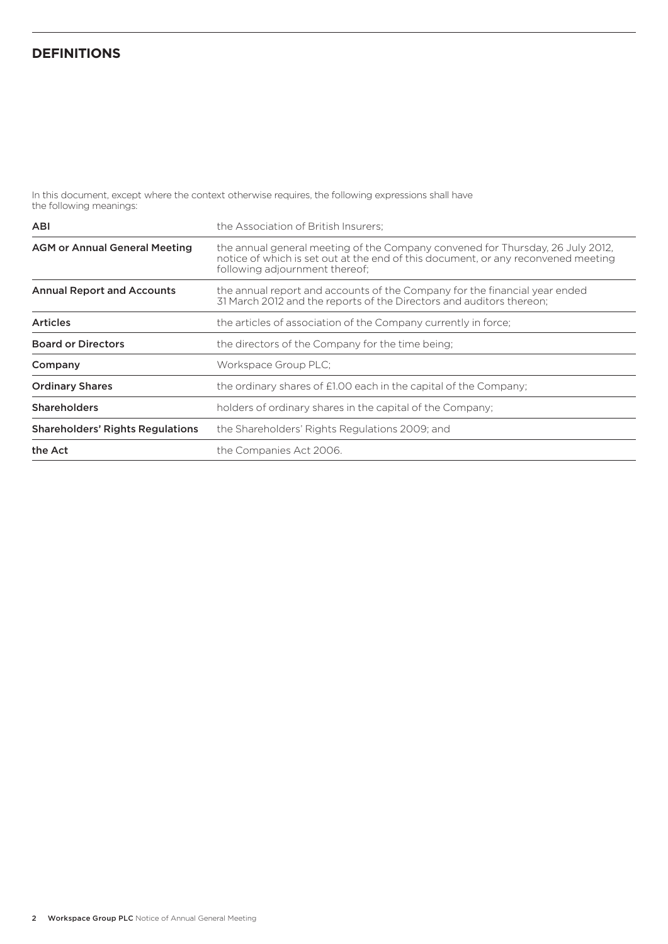# **Definitions**

In this document, except where the context otherwise requires, the following expressions shall have the following meanings:

| <b>ABI</b>                              | the Association of British Insurers:                                                                                                                                                                  |
|-----------------------------------------|-------------------------------------------------------------------------------------------------------------------------------------------------------------------------------------------------------|
| <b>AGM or Annual General Meeting</b>    | the annual general meeting of the Company convened for Thursday, 26 July 2012,<br>notice of which is set out at the end of this document, or any reconvened meeting<br>following adjournment thereof; |
| <b>Annual Report and Accounts</b>       | the annual report and accounts of the Company for the financial year ended<br>31 March 2012 and the reports of the Directors and auditors thereon;                                                    |
| <b>Articles</b>                         | the articles of association of the Company currently in force;                                                                                                                                        |
| <b>Board or Directors</b>               | the directors of the Company for the time being:                                                                                                                                                      |
| Company                                 | Workspace Group PLC:                                                                                                                                                                                  |
| <b>Ordinary Shares</b>                  | the ordinary shares of £1.00 each in the capital of the Company;                                                                                                                                      |
| <b>Shareholders</b>                     | holders of ordinary shares in the capital of the Company;                                                                                                                                             |
| <b>Shareholders' Rights Regulations</b> | the Shareholders' Rights Regulations 2009; and                                                                                                                                                        |
| the Act                                 | the Companies Act 2006.                                                                                                                                                                               |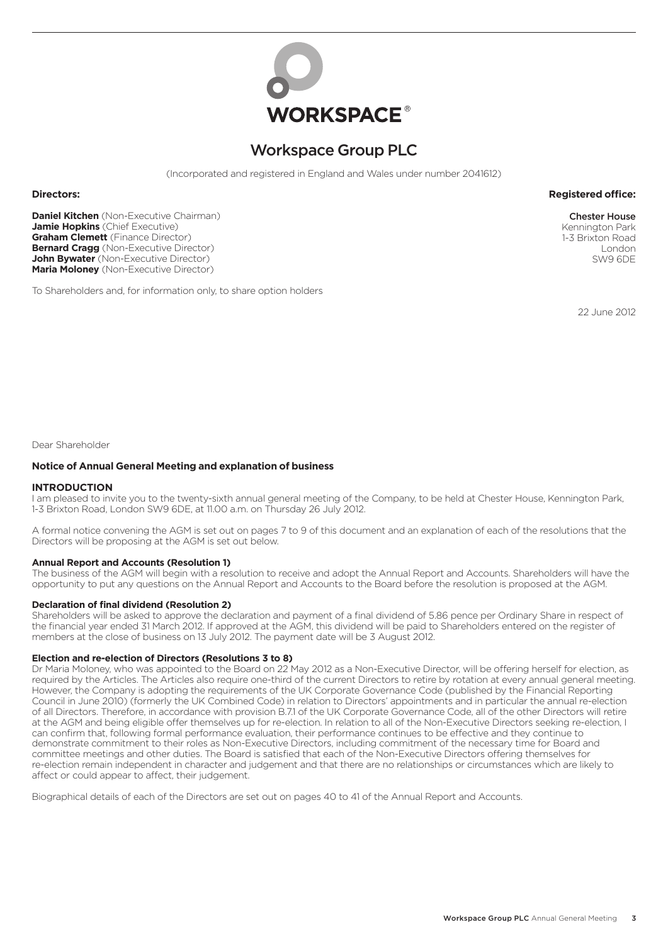

# Workspace Group PLC

(Incorporated and registered in England and Wales under number 2041612)

## **Directors: Registered office:**

**Daniel Kitchen** (Non-Executive Chairman) **Jamie Hopkins** (Chief Executive) **Graham Clemett** (Finance Director) **Bernard Cragg** (Non-Executive Director) **John Bywater** (Non-Executive Director) **Maria Moloney** (Non-Executive Director)

To Shareholders and, for information only, to share option holders

1-3 Brixton Road London SW9 6DE

Chester House Kennington Park

22 June 2012

Dear Shareholder

#### **Notice of Annual General Meeting and explanation of business**

#### **INTRODUCTION**

I am pleased to invite you to the twenty-sixth annual general meeting of the Company, to be held at Chester House, Kennington Park, 1-3 Brixton Road, London SW9 6DE, at 11.00 a.m. on Thursday 26 July 2012.

A formal notice convening the AGM is set out on pages 7 to 9 of this document and an explanation of each of the resolutions that the Directors will be proposing at the AGM is set out below.

#### **Annual Report and Accounts (Resolution 1)**

The business of the AGM will begin with a resolution to receive and adopt the Annual Report and Accounts. Shareholders will have the opportunity to put any questions on the Annual Report and Accounts to the Board before the resolution is proposed at the AGM.

# **Declaration of final dividend (Resolution 2)**

Shareholders will be asked to approve the declaration and payment of a final dividend of 5.86 pence per Ordinary Share in respect of the financial year ended 31 March 2012. If approved at the AGM, this dividend will be paid to Shareholders entered on the register of members at the close of business on 13 July 2012. The payment date will be 3 August 2012.

#### **Election and re-election of Directors (Resolutions 3 to 8)**

Dr Maria Moloney, who was appointed to the Board on 22 May 2012 as a Non-Executive Director, will be offering herself for election, as required by the Articles. The Articles also require one-third of the current Directors to retire by rotation at every annual general meeting. However, the Company is adopting the requirements of the UK Corporate Governance Code (published by the Financial Reporting Council in June 2010) (formerly the UK Combined Code) in relation to Directors' appointments and in particular the annual re-election of all Directors. Therefore, in accordance with provision B.7.1 of the UK Corporate Governance Code, all of the other Directors will retire at the AGM and being eligible offer themselves up for re-election. In relation to all of the Non-Executive Directors seeking re-election, I can confirm that, following formal performance evaluation, their performance continues to be effective and they continue to demonstrate commitment to their roles as Non-Executive Directors, including commitment of the necessary time for Board and committee meetings and other duties. The Board is satisfied that each of the Non-Executive Directors offering themselves for re-election remain independent in character and judgement and that there are no relationships or circumstances which are likely to affect or could appear to affect, their judgement.

Biographical details of each of the Directors are set out on pages 40 to 41 of the Annual Report and Accounts.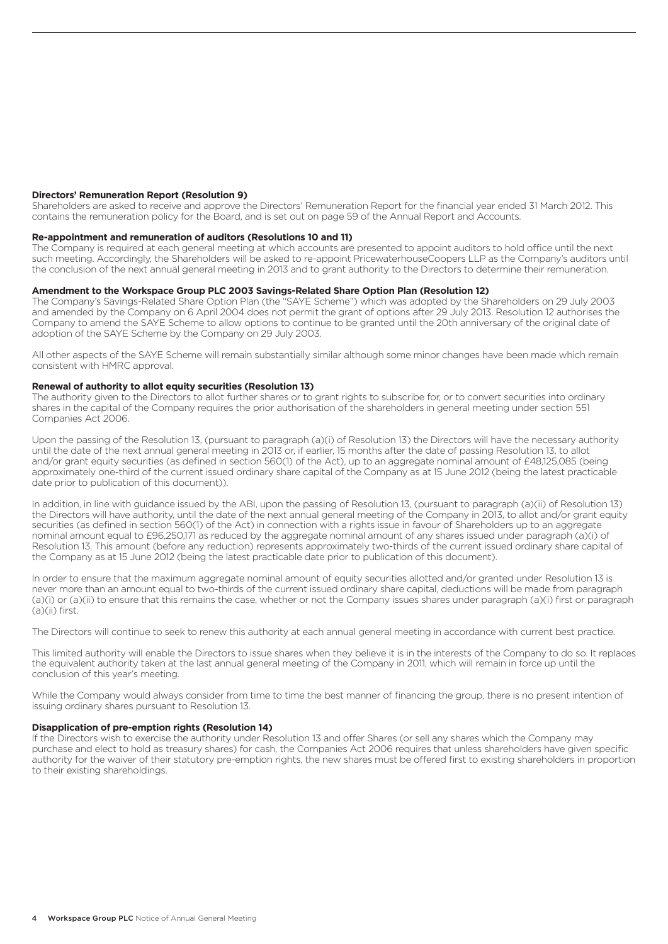#### **Directors' Remuneration Report (Resolution 9)**

Shareholders are asked to receive and approve the Directors' Remuneration Report for the financial year ended 31 March 2012. This contains the remuneration policy for the Board, and is set out on page 59 of the Annual Report and Accounts.

## **Re-appointment and remuneration of auditors (Resolutions 10 and 11)**

The Company is required at each general meeting at which accounts are presented to appoint auditors to hold office until the next such meeting. Accordingly, the Shareholders will be asked to re-appoint PricewaterhouseCoopers LLP as the Company's auditors until the conclusion of the next annual general meeting in 2013 and to grant authority to the Directors to determine their remuneration.

## **Amendment to the Workspace Group PLC 2003 Savings-Related Share Option Plan (Resolution 12)**

The Company's Savings-Related Share Option Plan (the "SAYE Scheme") which was adopted by the Shareholders on 29 July 2003 and amended by the Company on 6 April 2004 does not permit the grant of options after 29 July 2013. Resolution 12 authorises the Company to amend the SAYE Scheme to allow options to continue to be granted until the 20th anniversary of the original date of adoption of the SAYE Scheme by the Company on 29 July 2003.

All other aspects of the SAYE Scheme will remain substantially similar although some minor changes have been made which remain consistent with HMRC approval.

#### **Renewal of authority to allot equity securities (Resolution 13)**

The authority given to the Directors to allot further shares or to grant rights to subscribe for, or to convert securities into ordinary shares in the capital of the Company requires the prior authorisation of the shareholders in general meeting under section 551 Companies Act 2006.

Upon the passing of the Resolution 13, (pursuant to paragraph (a)(i) of Resolution 13) the Directors will have the necessary authority until the date of the next annual general meeting in 2013 or, if earlier, 15 months after the date of passing Resolution 13, to allot and/or grant equity securities (as defined in section 560(1) of the Act), up to an aggregate nominal amount of £48,125,085 (being approximately one-third of the current issued ordinary share capital of the Company as at 15 June 2012 (being the latest practicable date prior to publication of this document)).

In addition, in line with guidance issued by the ABI, upon the passing of Resolution 13, (pursuant to paragraph (a)(ii) of Resolution 13) the Directors will have authority, until the date of the next annual general meeting of the Company in 2013, to allot and/or grant equity securities (as defined in section 560(1) of the Act) in connection with a rights issue in favour of Shareholders up to an aggregate nominal amount equal to £96,250,171 as reduced by the aggregate nominal amount of any shares issued under paragraph (a)(i) of Resolution 13. This amount (before any reduction) represents approximately two-thirds of the current issued ordinary share capital of the Company as at 15 June 2012 (being the latest practicable date prior to publication of this document).

In order to ensure that the maximum aggregate nominal amount of equity securities allotted and/or granted under Resolution 13 is never more than an amount equal to two-thirds of the current issued ordinary share capital, deductions will be made from paragraph (a)(i) or (a)(ii) to ensure that this remains the case, whether or not the Company issues shares under paragraph (a)(i) first or paragraph (a)(ii) first.

The Directors will continue to seek to renew this authority at each annual general meeting in accordance with current best practice.

This limited authority will enable the Directors to issue shares when they believe it is in the interests of the Company to do so. It replaces the equivalent authority taken at the last annual general meeting of the Company in 2011, which will remain in force up until the conclusion of this year's meeting.

While the Company would always consider from time to time the best manner of financing the group, there is no present intention of issuing ordinary shares pursuant to Resolution 13.

# **Disapplication of pre-emption rights (Resolution 14)**

If the Directors wish to exercise the authority under Resolution 13 and offer Shares (or sell any shares which the Company may purchase and elect to hold as treasury shares) for cash, the Companies Act 2006 requires that unless shareholders have given specific authority for the waiver of their statutory pre-emption rights, the new shares must be offered first to existing shareholders in proportion to their existing shareholdings.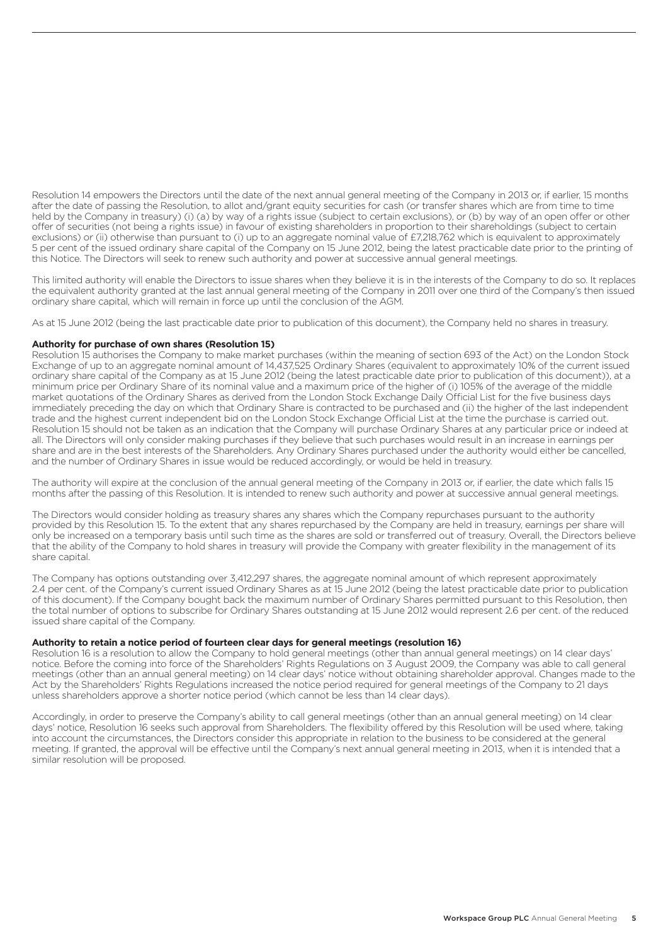Resolution 14 empowers the Directors until the date of the next annual general meeting of the Company in 2013 or, if earlier, 15 months after the date of passing the Resolution, to allot and/grant equity securities for cash (or transfer shares which are from time to time held by the Company in treasury) (i) (a) by way of a rights issue (subject to certain exclusions), or (b) by way of an open offer or other offer of securities (not being a rights issue) in favour of existing shareholders in proportion to their shareholdings (subject to certain exclusions) or (ii) otherwise than pursuant to (i) up to an aggregate nominal value of £7,218,762 which is equivalent to approximately 5 per cent of the issued ordinary share capital of the Company on 15 June 2012, being the latest practicable date prior to the printing of this Notice. The Directors will seek to renew such authority and power at successive annual general meetings.

This limited authority will enable the Directors to issue shares when they believe it is in the interests of the Company to do so. It replaces the equivalent authority granted at the last annual general meeting of the Company in 2011 over one third of the Company's then issued ordinary share capital, which will remain in force up until the conclusion of the AGM.

As at 15 June 2012 (being the last practicable date prior to publication of this document), the Company held no shares in treasury.

# **Authority for purchase of own shares (Resolution 15)**

Resolution 15 authorises the Company to make market purchases (within the meaning of section 693 of the Act) on the London Stock Exchange of up to an aggregate nominal amount of 14,437,525 Ordinary Shares (equivalent to approximately 10% of the current issued ordinary share capital of the Company as at 15 June 2012 (being the latest practicable date prior to publication of this document)), at a minimum price per Ordinary Share of its nominal value and a maximum price of the higher of (i) 105% of the average of the middle market quotations of the Ordinary Shares as derived from the London Stock Exchange Daily Official List for the five business days immediately preceding the day on which that Ordinary Share is contracted to be purchased and (ii) the higher of the last independent trade and the highest current independent bid on the London Stock Exchange Official List at the time the purchase is carried out. Resolution 15 should not be taken as an indication that the Company will purchase Ordinary Shares at any particular price or indeed at all. The Directors will only consider making purchases if they believe that such purchases would result in an increase in earnings per share and are in the best interests of the Shareholders. Any Ordinary Shares purchased under the authority would either be cancelled, and the number of Ordinary Shares in issue would be reduced accordingly, or would be held in treasury.

The authority will expire at the conclusion of the annual general meeting of the Company in 2013 or, if earlier, the date which falls 15 months after the passing of this Resolution. It is intended to renew such authority and power at successive annual general meetings.

The Directors would consider holding as treasury shares any shares which the Company repurchases pursuant to the authority provided by this Resolution 15. To the extent that any shares repurchased by the Company are held in treasury, earnings per share will only be increased on a temporary basis until such time as the shares are sold or transferred out of treasury. Overall, the Directors believe that the ability of the Company to hold shares in treasury will provide the Company with greater flexibility in the management of its share capital.

The Company has options outstanding over 3,412,297 shares, the aggregate nominal amount of which represent approximately 2.4 per cent. of the Company's current issued Ordinary Shares as at 15 June 2012 (being the latest practicable date prior to publication of this document). If the Company bought back the maximum number of Ordinary Shares permitted pursuant to this Resolution, then the total number of options to subscribe for Ordinary Shares outstanding at 15 June 2012 would represent 2.6 per cent. of the reduced issued share capital of the Company.

# **Authority to retain a notice period of fourteen clear days for general meetings (resolution 16)**

Resolution 16 is a resolution to allow the Company to hold general meetings (other than annual general meetings) on 14 clear days' notice. Before the coming into force of the Shareholders' Rights Regulations on 3 August 2009, the Company was able to call general meetings (other than an annual general meeting) on 14 clear days' notice without obtaining shareholder approval. Changes made to the Act by the Shareholders' Rights Regulations increased the notice period required for general meetings of the Company to 21 days unless shareholders approve a shorter notice period (which cannot be less than 14 clear days).

Accordingly, in order to preserve the Company's ability to call general meetings (other than an annual general meeting) on 14 clear days' notice, Resolution 16 seeks such approval from Shareholders. The flexibility offered by this Resolution will be used where, taking into account the circumstances, the Directors consider this appropriate in relation to the business to be considered at the general meeting. If granted, the approval will be effective until the Company's next annual general meeting in 2013, when it is intended that a similar resolution will be proposed.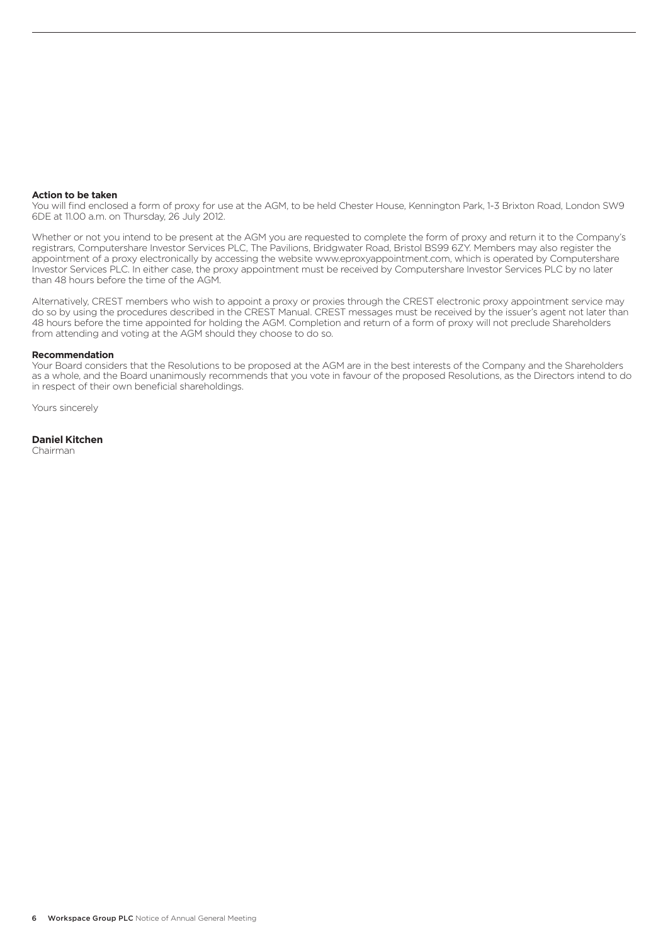#### **Action to be taken**

You will find enclosed a form of proxy for use at the AGM, to be held Chester House, Kennington Park, 1-3 Brixton Road, London SW9 6DE at 11.00 a.m. on Thursday, 26 July 2012.

Whether or not you intend to be present at the AGM you are requested to complete the form of proxy and return it to the Company's registrars, Computershare Investor Services PLC, The Pavilions, Bridgwater Road, Bristol BS99 6ZY. Members may also register the appointment of a proxy electronically by accessing the website www.eproxyappointment.com, which is operated by Computershare Investor Services PLC. In either case, the proxy appointment must be received by Computershare Investor Services PLC by no later than 48 hours before the time of the AGM.

Alternatively, CREST members who wish to appoint a proxy or proxies through the CREST electronic proxy appointment service may do so by using the procedures described in the CREST Manual. CREST messages must be received by the issuer's agent not later than 48 hours before the time appointed for holding the AGM. Completion and return of a form of proxy will not preclude Shareholders from attending and voting at the AGM should they choose to do so.

#### **Recommendation**

Your Board considers that the Resolutions to be proposed at the AGM are in the best interests of the Company and the Shareholders as a whole, and the Board unanimously recommends that you vote in favour of the proposed Resolutions, as the Directors intend to do in respect of their own beneficial shareholdings.

Yours sincerely

# **Daniel Kitchen**

Chairman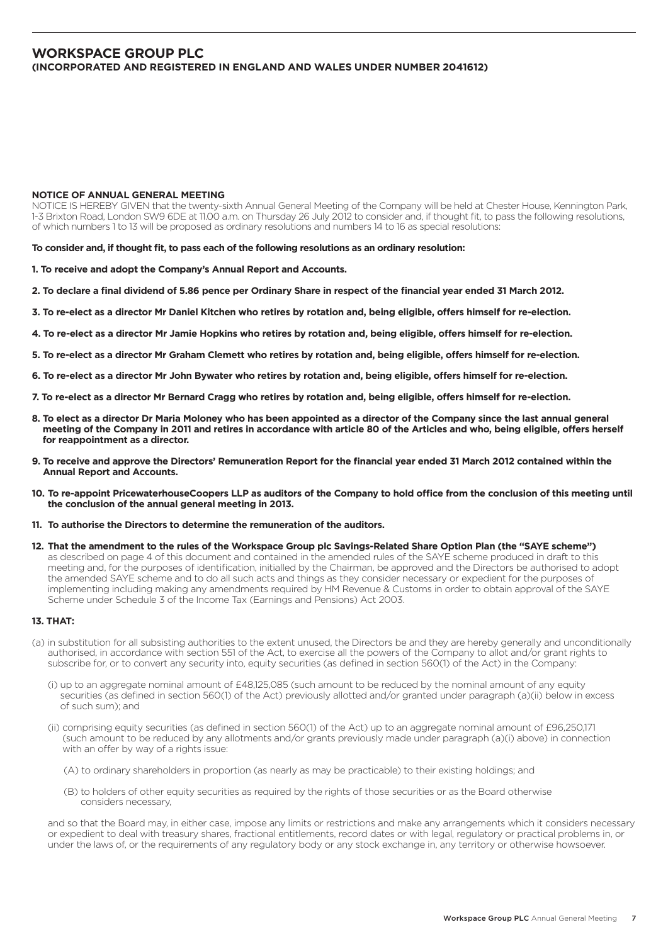# **Workspace Group PLC (Incorporated and registered in England and Wales under number 2041612)**

#### **NOTICE OF ANNUAL GENERAL MEETING**

NOTICE IS HEREBY GIVEN that the twenty-sixth Annual General Meeting of the Company will be held at Chester House, Kennington Park, 1-3 Brixton Road, London SW9 6DE at 11.00 a.m. on Thursday 26 July 2012 to consider and, if thought fit, to pass the following resolutions, of which numbers 1 to 13 will be proposed as ordinary resolutions and numbers 14 to 16 as special resolutions:

**To consider and, if thought fit, to pass each of the following resolutions as an ordinary resolution:**

**1. To receive and adopt the Company's Annual Report and Accounts.**

- **2. To declare a final dividend of 5.86 pence per Ordinary Share in respect of the financial year ended 31 March 2012.**
- **3. To re-elect as a director Mr Daniel Kitchen who retires by rotation and, being eligible, offers himself for re-election.**
- **4. To re-elect as a director Mr Jamie Hopkins who retires by rotation and, being eligible, offers himself for re-election.**
- **5. To re-elect as a director Mr Graham Clemett who retires by rotation and, being eligible, offers himself for re-election.**
- **6. To re-elect as a director Mr John Bywater who retires by rotation and, being eligible, offers himself for re-election.**
- **7. To re-elect as a director Mr Bernard Cragg who retires by rotation and, being eligible, offers himself for re-election.**
- **8. To elect as a director Dr Maria Moloney who has been appointed as a director of the Company since the last annual general meeting of the Company in 2011 and retires in accordance with article 80 of the Articles and who, being eligible, offers herself for reappointment as a director.**
- **9. To receive and approve the Directors' Remuneration Report for the financial year ended 31 March 2012 contained within the Annual Report and Accounts.**
- **10. To re-appoint PricewaterhouseCoopers LLP as auditors of the Company to hold office from the conclusion of this meeting until the conclusion of the annual general meeting in 2013.**
- **11. To authorise the Directors to determine the remuneration of the auditors.**
- **12. That the amendment to the rules of the Workspace Group plc Savings-Related Share Option Plan (the "SAYE scheme")**  as described on page 4 of this document and contained in the amended rules of the SAYE scheme produced in draft to this meeting and, for the purposes of identification, initialled by the Chairman, be approved and the Directors be authorised to adopt the amended SAYE scheme and to do all such acts and things as they consider necessary or expedient for the purposes of implementing including making any amendments required by HM Revenue & Customs in order to obtain approval of the SAYE Scheme under Schedule 3 of the Income Tax (Earnings and Pensions) Act 2003.

#### **13. THAT:**

- (a) in substitution for all subsisting authorities to the extent unused, the Directors be and they are hereby generally and unconditionally authorised, in accordance with section 551 of the Act, to exercise all the powers of the Company to allot and/or grant rights to subscribe for, or to convert any security into, equity securities (as defined in section 560(1) of the Act) in the Company:
	- (i) up to an aggregate nominal amount of £48,125,085 (such amount to be reduced by the nominal amount of any equity securities (as defined in section 560(1) of the Act) previously allotted and/or granted under paragraph (a)(ii) below in excess of such sum); and
	- (ii) comprising equity securities (as defined in section 560(1) of the Act) up to an aggregate nominal amount of £96,250,171 (such amount to be reduced by any allotments and/or grants previously made under paragraph (a)(i) above) in connection with an offer by way of a rights issue:
		- (A) to ordinary shareholders in proportion (as nearly as may be practicable) to their existing holdings; and
		- (B) to holders of other equity securities as required by the rights of those securities or as the Board otherwise considers necessary,

 and so that the Board may, in either case, impose any limits or restrictions and make any arrangements which it considers necessary or expedient to deal with treasury shares, fractional entitlements, record dates or with legal, regulatory or practical problems in, or under the laws of, or the requirements of any regulatory body or any stock exchange in, any territory or otherwise howsoever.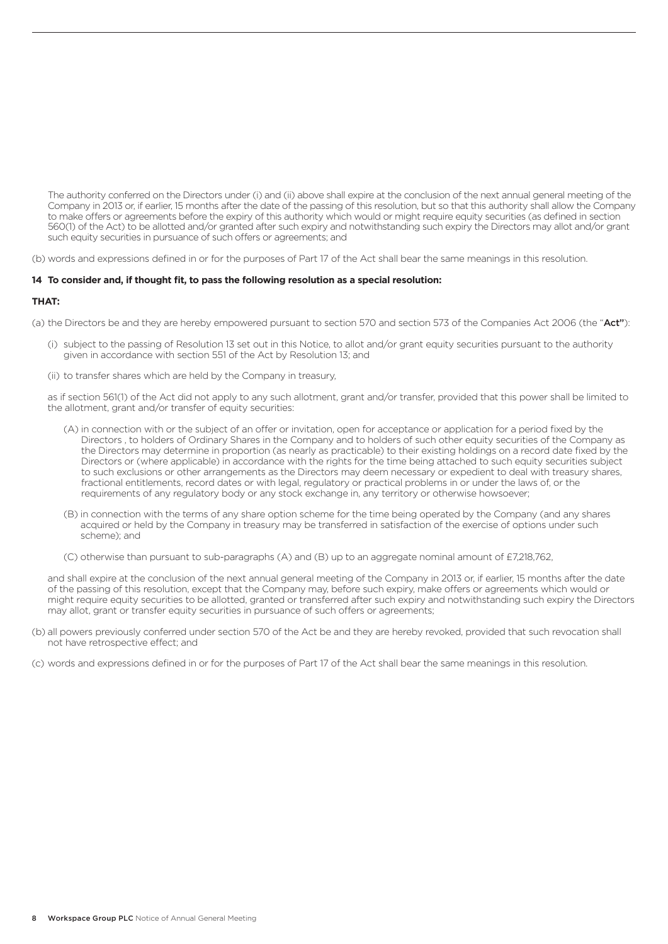The authority conferred on the Directors under (i) and (ii) above shall expire at the conclusion of the next annual general meeting of the Company in 2013 or, if earlier, 15 months after the date of the passing of this resolution, but so that this authority shall allow the Company to make offers or agreements before the expiry of this authority which would or might require equity securities (as defined in section 560(1) of the Act) to be allotted and/or granted after such expiry and notwithstanding such expiry the Directors may allot and/or grant such equity securities in pursuance of such offers or agreements; and

(b) words and expressions defined in or for the purposes of Part 17 of the Act shall bear the same meanings in this resolution.

# **14 To consider and, if thought fit, to pass the following resolution as a special resolution:**

## **THAT:**

(a) the Directors be and they are hereby empowered pursuant to section 570 and section 573 of the Companies Act 2006 (the "Act"):

- (i) subject to the passing of Resolution 13 set out in this Notice, to allot and/or grant equity securities pursuant to the authority given in accordance with section 551 of the Act by Resolution 13; and
- (ii) to transfer shares which are held by the Company in treasury,

 as if section 561(1) of the Act did not apply to any such allotment, grant and/or transfer, provided that this power shall be limited to the allotment, grant and/or transfer of equity securities:

- (A) in connection with or the subject of an offer or invitation, open for acceptance or application for a period fixed by the Directors , to holders of Ordinary Shares in the Company and to holders of such other equity securities of the Company as the Directors may determine in proportion (as nearly as practicable) to their existing holdings on a record date fixed by the Directors or (where applicable) in accordance with the rights for the time being attached to such equity securities subject to such exclusions or other arrangements as the Directors may deem necessary or expedient to deal with treasury shares, fractional entitlements, record dates or with legal, regulatory or practical problems in or under the laws of, or the requirements of any regulatory body or any stock exchange in, any territory or otherwise howsoever;
- (B) in connection with the terms of any share option scheme for the time being operated by the Company (and any shares acquired or held by the Company in treasury may be transferred in satisfaction of the exercise of options under such scheme); and
- (C) otherwise than pursuant to sub-paragraphs (A) and (B) up to an aggregate nominal amount of £7,218,762,

 and shall expire at the conclusion of the next annual general meeting of the Company in 2013 or, if earlier, 15 months after the date of the passing of this resolution, except that the Company may, before such expiry, make offers or agreements which would or might require equity securities to be allotted, granted or transferred after such expiry and notwithstanding such expiry the Directors may allot, grant or transfer equity securities in pursuance of such offers or agreements;

- (b) all powers previously conferred under section 570 of the Act be and they are hereby revoked, provided that such revocation shall not have retrospective effect; and
- (c) words and expressions defined in or for the purposes of Part 17 of the Act shall bear the same meanings in this resolution.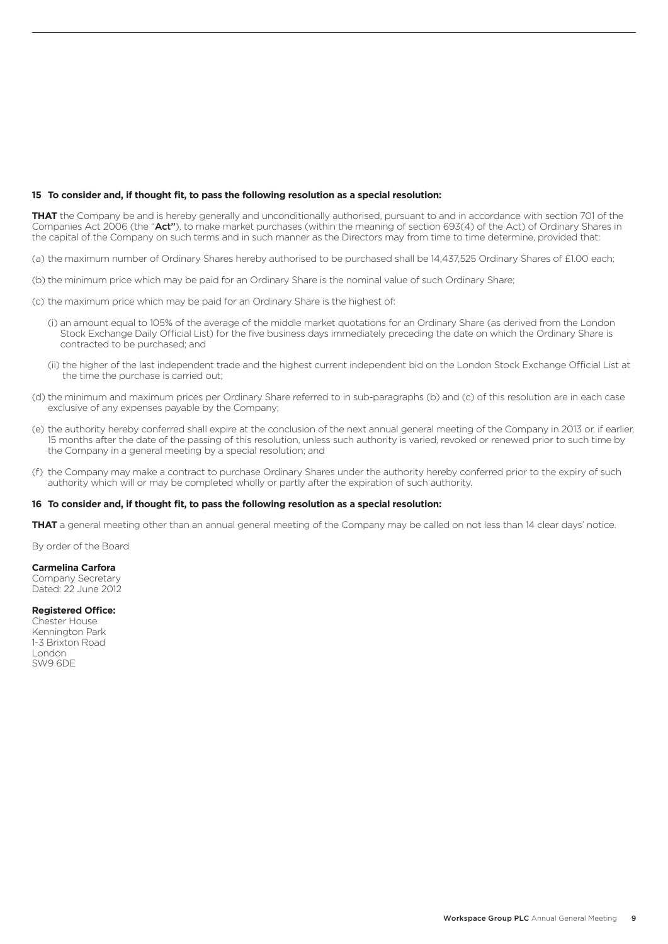## **15 To consider and, if thought fit, to pass the following resolution as a special resolution:**

**THAT** the Company be and is hereby generally and unconditionally authorised, pursuant to and in accordance with section 701 of the Companies Act 2006 (the "Act"), to make market purchases (within the meaning of section 693(4) of the Act) of Ordinary Shares in the capital of the Company on such terms and in such manner as the Directors may from time to time determine, provided that:

- (a) the maximum number of Ordinary Shares hereby authorised to be purchased shall be 14,437,525 Ordinary Shares of £1.00 each;
- (b) the minimum price which may be paid for an Ordinary Share is the nominal value of such Ordinary Share;
- (c) the maximum price which may be paid for an Ordinary Share is the highest of:
	- (i) an amount equal to 105% of the average of the middle market quotations for an Ordinary Share (as derived from the London Stock Exchange Daily Official List) for the five business days immediately preceding the date on which the Ordinary Share is contracted to be purchased; and
	- (ii) the higher of the last independent trade and the highest current independent bid on the London Stock Exchange Official List at the time the purchase is carried out;
- (d) the minimum and maximum prices per Ordinary Share referred to in sub-paragraphs (b) and (c) of this resolution are in each case exclusive of any expenses payable by the Company;
- (e) the authority hereby conferred shall expire at the conclusion of the next annual general meeting of the Company in 2013 or, if earlier, 15 months after the date of the passing of this resolution, unless such authority is varied, revoked or renewed prior to such time by the Company in a general meeting by a special resolution; and
- (f) the Company may make a contract to purchase Ordinary Shares under the authority hereby conferred prior to the expiry of such authority which will or may be completed wholly or partly after the expiration of such authority.

### **16 To consider and, if thought fit, to pass the following resolution as a special resolution:**

**THAT** a general meeting other than an annual general meeting of the Company may be called on not less than 14 clear days' notice.

By order of the Board

#### **Carmelina Carfora**

Company Secretary Dated: 22 June 2012

# **Registered Office:**

Chester House Kennington Park 1-3 Brixton Road London SW9 6DE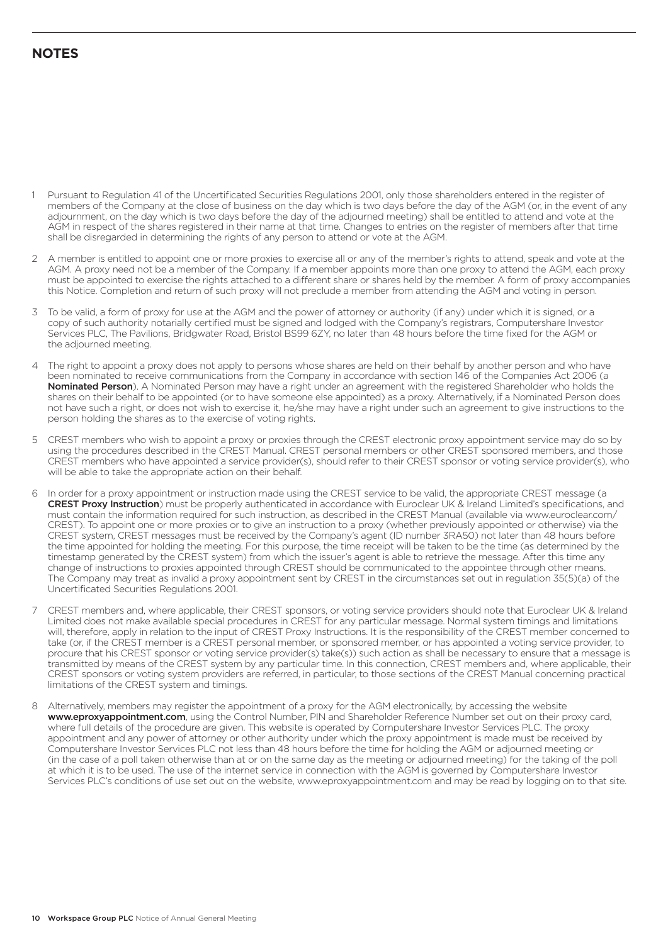# **NOTES**

- 1 Pursuant to Regulation 41 of the Uncertificated Securities Regulations 2001, only those shareholders entered in the register of members of the Company at the close of business on the day which is two days before the day of the AGM (or, in the event of any adjournment, on the day which is two days before the day of the adjourned meeting) shall be entitled to attend and vote at the AGM in respect of the shares registered in their name at that time. Changes to entries on the register of members after that time shall be disregarded in determining the rights of any person to attend or vote at the AGM.
- 2 A member is entitled to appoint one or more proxies to exercise all or any of the member's rights to attend, speak and vote at the AGM. A proxy need not be a member of the Company. If a member appoints more than one proxy to attend the AGM, each proxy must be appointed to exercise the rights attached to a different share or shares held by the member. A form of proxy accompanies this Notice. Completion and return of such proxy will not preclude a member from attending the AGM and voting in person.
- 3 To be valid, a form of proxy for use at the AGM and the power of attorney or authority (if any) under which it is signed, or a copy of such authority notarially certified must be signed and lodged with the Company's registrars, Computershare Investor Services PLC, The Pavilions, Bridgwater Road, Bristol BS99 6ZY, no later than 48 hours before the time fixed for the AGM or the adjourned meeting.
- 4 The right to appoint a proxy does not apply to persons whose shares are held on their behalf by another person and who have been nominated to receive communications from the Company in accordance with section 146 of the Companies Act 2006 (a Nominated Person). A Nominated Person may have a right under an agreement with the registered Shareholder who holds the shares on their behalf to be appointed (or to have someone else appointed) as a proxy. Alternatively, if a Nominated Person does not have such a right, or does not wish to exercise it, he/she may have a right under such an agreement to give instructions to the person holding the shares as to the exercise of voting rights.
- 5 CREST members who wish to appoint a proxy or proxies through the CREST electronic proxy appointment service may do so by using the procedures described in the CREST Manual. CREST personal members or other CREST sponsored members, and those CREST members who have appointed a service provider(s), should refer to their CREST sponsor or voting service provider(s), who will be able to take the appropriate action on their behalf.
- 6 In order for a proxy appointment or instruction made using the CREST service to be valid, the appropriate CREST message (a CREST Proxy Instruction) must be properly authenticated in accordance with Euroclear UK & Ireland Limited's specifications, and must contain the information required for such instruction, as described in the CREST Manual (available via www.euroclear.com/ CREST). To appoint one or more proxies or to give an instruction to a proxy (whether previously appointed or otherwise) via the CREST system, CREST messages must be received by the Company's agent (ID number 3RA50) not later than 48 hours before the time appointed for holding the meeting. For this purpose, the time receipt will be taken to be the time (as determined by the timestamp generated by the CREST system) from which the issuer's agent is able to retrieve the message. After this time any change of instructions to proxies appointed through CREST should be communicated to the appointee through other means. The Company may treat as invalid a proxy appointment sent by CREST in the circumstances set out in regulation 35(5)(a) of the Uncertificated Securities Regulations 2001.
- 7 CREST members and, where applicable, their CREST sponsors, or voting service providers should note that Euroclear UK & Ireland Limited does not make available special procedures in CREST for any particular message. Normal system timings and limitations will, therefore, apply in relation to the input of CREST Proxy Instructions. It is the responsibility of the CREST member concerned to take (or, if the CREST member is a CREST personal member, or sponsored member, or has appointed a voting service provider, to procure that his CREST sponsor or voting service provider(s) take(s)) such action as shall be necessary to ensure that a message is transmitted by means of the CREST system by any particular time. In this connection, CREST members and, where applicable, their CREST sponsors or voting system providers are referred, in particular, to those sections of the CREST Manual concerning practical limitations of the CREST system and timings.
- 8 Alternatively, members may register the appointment of a proxy for the AGM electronically, by accessing the website www.eproxyappointment.com, using the Control Number, PIN and Shareholder Reference Number set out on their proxy card, where full details of the procedure are given. This website is operated by Computershare Investor Services PLC. The proxy appointment and any power of attorney or other authority under which the proxy appointment is made must be received by Computershare Investor Services PLC not less than 48 hours before the time for holding the AGM or adjourned meeting or (in the case of a poll taken otherwise than at or on the same day as the meeting or adjourned meeting) for the taking of the poll at which it is to be used. The use of the internet service in connection with the AGM is governed by Computershare Investor Services PLC's conditions of use set out on the website, www.eproxyappointment.com and may be read by logging on to that site.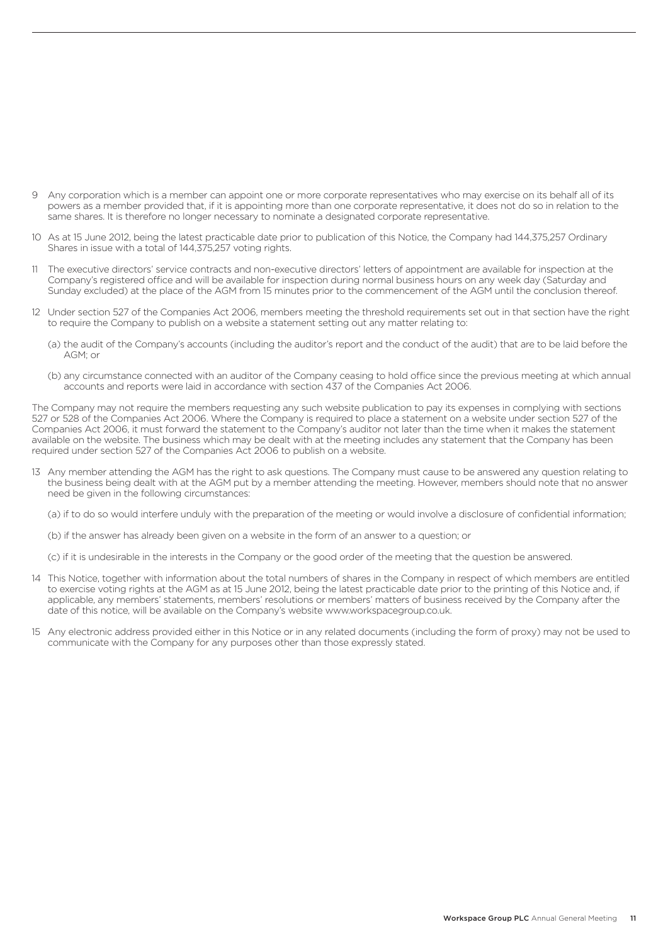- 9 Any corporation which is a member can appoint one or more corporate representatives who may exercise on its behalf all of its powers as a member provided that, if it is appointing more than one corporate representative, it does not do so in relation to the same shares. It is therefore no longer necessary to nominate a designated corporate representative.
- 10 As at 15 June 2012, being the latest practicable date prior to publication of this Notice, the Company had 144,375,257 Ordinary Shares in issue with a total of 144,375,257 voting rights.
- 11 The executive directors' service contracts and non-executive directors' letters of appointment are available for inspection at the Company's registered office and will be available for inspection during normal business hours on any week day (Saturday and Sunday excluded) at the place of the AGM from 15 minutes prior to the commencement of the AGM until the conclusion thereof.
- 12 Under section 527 of the Companies Act 2006, members meeting the threshold requirements set out in that section have the right to require the Company to publish on a website a statement setting out any matter relating to:
	- (a) the audit of the Company's accounts (including the auditor's report and the conduct of the audit) that are to be laid before the AGM; or
	- (b) any circumstance connected with an auditor of the Company ceasing to hold office since the previous meeting at which annual accounts and reports were laid in accordance with section 437 of the Companies Act 2006.

The Company may not require the members requesting any such website publication to pay its expenses in complying with sections 527 or 528 of the Companies Act 2006. Where the Company is required to place a statement on a website under section 527 of the Companies Act 2006, it must forward the statement to the Company's auditor not later than the time when it makes the statement available on the website. The business which may be dealt with at the meeting includes any statement that the Company has been required under section 527 of the Companies Act 2006 to publish on a website.

13 Any member attending the AGM has the right to ask questions. The Company must cause to be answered any question relating to the business being dealt with at the AGM put by a member attending the meeting. However, members should note that no answer need be given in the following circumstances:

(a) if to do so would interfere unduly with the preparation of the meeting or would involve a disclosure of confidential information;

(b) if the answer has already been given on a website in the form of an answer to a question; or

(c) if it is undesirable in the interests in the Company or the good order of the meeting that the question be answered.

- 14 This Notice, together with information about the total numbers of shares in the Company in respect of which members are entitled to exercise voting rights at the AGM as at 15 June 2012, being the latest practicable date prior to the printing of this Notice and, if applicable, any members' statements, members' resolutions or members' matters of business received by the Company after the date of this notice, will be available on the Company's website www.workspacegroup.co.uk.
- 15 Any electronic address provided either in this Notice or in any related documents (including the form of proxy) may not be used to communicate with the Company for any purposes other than those expressly stated.